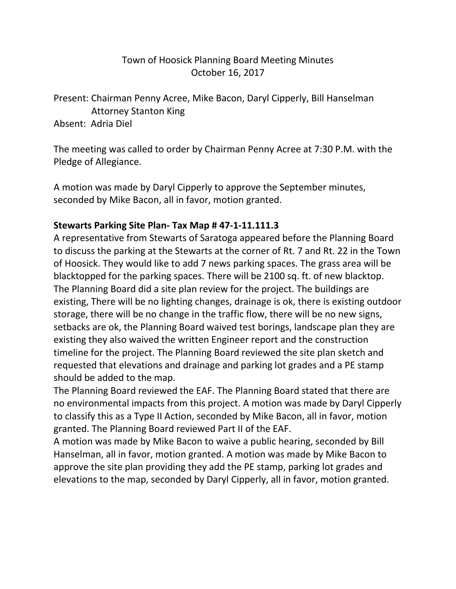## Town of Hoosick Planning Board Meeting Minutes October 16, 2017

Present: Chairman Penny Acree, Mike Bacon, Daryl Cipperly, Bill Hanselman Attorney Stanton King Absent: Adria Diel

The meeting was called to order by Chairman Penny Acree at 7:30 P.M. with the Pledge of Allegiance.

A motion was made by Daryl Cipperly to approve the September minutes, seconded by Mike Bacon, all in favor, motion granted.

## **Stewarts Parking Site Plan- Tax Map # 47-1-11.111.3**

A representative from Stewarts of Saratoga appeared before the Planning Board to discuss the parking at the Stewarts at the corner of Rt. 7 and Rt. 22 in the Town of Hoosick. They would like to add 7 news parking spaces. The grass area will be blacktopped for the parking spaces. There will be 2100 sq. ft. of new blacktop. The Planning Board did a site plan review for the project. The buildings are existing, There will be no lighting changes, drainage is ok, there is existing outdoor storage, there will be no change in the traffic flow, there will be no new signs, setbacks are ok, the Planning Board waived test borings, landscape plan they are existing they also waived the written Engineer report and the construction timeline for the project. The Planning Board reviewed the site plan sketch and requested that elevations and drainage and parking lot grades and a PE stamp should be added to the map.

The Planning Board reviewed the EAF. The Planning Board stated that there are no environmental impacts from this project. A motion was made by Daryl Cipperly to classify this as a Type II Action, seconded by Mike Bacon, all in favor, motion granted. The Planning Board reviewed Part II of the EAF.

A motion was made by Mike Bacon to waive a public hearing, seconded by Bill Hanselman, all in favor, motion granted. A motion was made by Mike Bacon to approve the site plan providing they add the PE stamp, parking lot grades and elevations to the map, seconded by Daryl Cipperly, all in favor, motion granted.